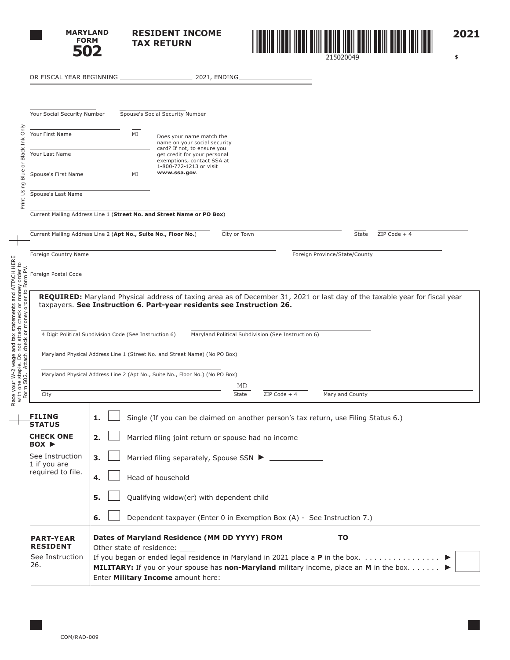

**RESIDENT INCOME TAX RETURN**



**2021**

 **\$** 

|                                                                                                                                                                       | OR FISCAL YEAR BEGINNING                                       | 2021, ENDING_                                                                                                                   |                |                               |  |
|-----------------------------------------------------------------------------------------------------------------------------------------------------------------------|----------------------------------------------------------------|---------------------------------------------------------------------------------------------------------------------------------|----------------|-------------------------------|--|
|                                                                                                                                                                       |                                                                |                                                                                                                                 |                |                               |  |
| Your Social Security Number                                                                                                                                           |                                                                | Spouse's Social Security Number                                                                                                 |                |                               |  |
| Black Ink Only<br>Your First Name                                                                                                                                     | MI                                                             | Does your name match the<br>name on your social security<br>card? If not, to ensure you                                         |                |                               |  |
| Your Last Name<br>ð                                                                                                                                                   |                                                                |                                                                                                                                 |                |                               |  |
| Blue<br>Spouse's First Name                                                                                                                                           | MI                                                             | www.ssa.gov.                                                                                                                    |                |                               |  |
| Print Using<br>Spouse's Last Name                                                                                                                                     |                                                                |                                                                                                                                 |                |                               |  |
|                                                                                                                                                                       |                                                                | Current Mailing Address Line 1 (Street No. and Street Name or PO Box)                                                           |                |                               |  |
|                                                                                                                                                                       | Current Mailing Address Line 2 (Apt No., Suite No., Floor No.) | City or Town                                                                                                                    |                | State<br>ZIP Code + 4         |  |
| Foreign Country Name                                                                                                                                                  |                                                                |                                                                                                                                 |                | Foreign Province/State/County |  |
| Foreign Postal Code                                                                                                                                                   |                                                                |                                                                                                                                 |                |                               |  |
| Place your W-2 wage and tax statements and ATTACH HERE<br>with one staple. Do not attach check or money order to<br>Form 502. Attach check or money order to Form PV. | 4 Digit Political Subdivision Code (See Instruction 6)         | Maryland Political Subdivision (See Instruction 6)<br>Maryland Physical Address Line 1 (Street No. and Street Name) (No PO Box) |                |                               |  |
|                                                                                                                                                                       |                                                                | Maryland Physical Address Line 2 (Apt No., Suite No., Floor No.) (No PO Box)                                                    |                |                               |  |
| City                                                                                                                                                                  |                                                                | MD<br>State                                                                                                                     | $ZIP Code + 4$ | Maryland County               |  |
| <b>FILING</b><br><b>STATUS</b>                                                                                                                                        | 1.                                                             | Single (If you can be claimed on another person's tax return, use Filing Status 6.)                                             |                |                               |  |
| <b>CHECK ONE</b><br>$Box \triangleright$                                                                                                                              | 2.<br>Married filing joint return or spouse had no income      |                                                                                                                                 |                |                               |  |
| See Instruction<br>1 if you are                                                                                                                                       | 3.                                                             |                                                                                                                                 |                |                               |  |
| required to file.                                                                                                                                                     | 4.<br>Head of household                                        |                                                                                                                                 |                |                               |  |
|                                                                                                                                                                       | 5.<br>Qualifying widow(er) with dependent child                |                                                                                                                                 |                |                               |  |
|                                                                                                                                                                       | 6.                                                             |                                                                                                                                 |                |                               |  |
|                                                                                                                                                                       |                                                                | Dependent taxpayer (Enter 0 in Exemption Box (A) - See Instruction 7.)                                                          |                |                               |  |
| <b>PART-YEAR</b><br><b>RESIDENT</b>                                                                                                                                   | Other state of residence: ____                                 | Dates of Maryland Residence (MM DD YYYY) FROM ______________ TO ________________                                                |                |                               |  |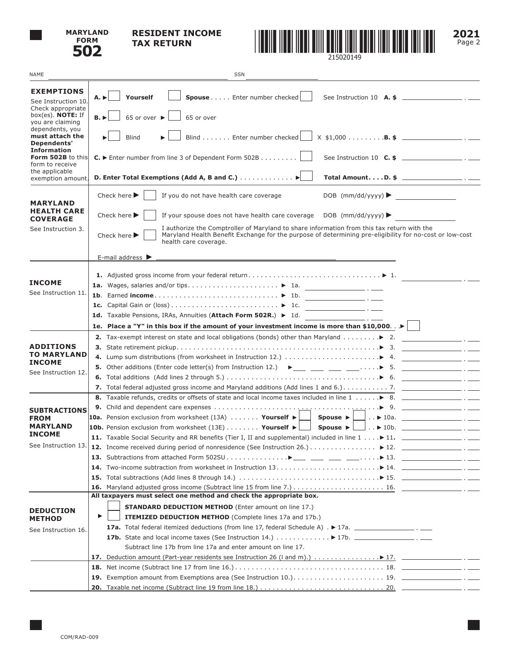

## **RESIDENT INCOME TAX RETURN**



**2021** Page 2

| <b>NAME</b>                                                                                                                                           | <b>SSN</b>                                                                                                                                                                                                                                                         |  |  |  |  |  |  |  |
|-------------------------------------------------------------------------------------------------------------------------------------------------------|--------------------------------------------------------------------------------------------------------------------------------------------------------------------------------------------------------------------------------------------------------------------|--|--|--|--|--|--|--|
| <b>EXEMPTIONS</b><br>See Instruction 10.<br>Check appropriate<br>box(es). <b>NOTE:</b> If                                                             | Yourself<br>Spouse Enter number checked<br>$A. \triangleright$<br>$65$ or over $\blacktriangleright$<br>65 or over<br>B.                                                                                                                                           |  |  |  |  |  |  |  |
| you are claiming<br>dependents, you<br>must attach the<br>Dependents'<br><b>Information</b><br>Form 502B to this<br>form to receive<br>the applicable | Blind Enter number checked<br>$X$ \$1,000 <b>B. \$</b> _______________________ . _____<br><b>Blind</b>                                                                                                                                                             |  |  |  |  |  |  |  |
|                                                                                                                                                       | $C.$ $\triangleright$ Enter number from line 3 of Dependent Form 502B $\lfloor$<br>See Instruction 10 $C.$ \$ ______________________.                                                                                                                              |  |  |  |  |  |  |  |
| exemption amount.                                                                                                                                     | Total Amount. D. \$ __________________. . ____                                                                                                                                                                                                                     |  |  |  |  |  |  |  |
| <b>MARYLAND</b><br><b>HEALTH CARE</b><br><b>COVERAGE</b>                                                                                              | Check here $\blacktriangleright$<br>If you do not have health care coverage<br>Check here $\blacktriangleright$<br>If your spouse does not have health care coverage DOB (mm/dd/yyyy) $\blacktriangleright$                                                        |  |  |  |  |  |  |  |
| See Instruction 3.                                                                                                                                    | I authorize the Comptroller of Maryland to share information from this tax return with the<br>Maryland Health Benefit Exchange for the purpose of determining pre-eligibility for no-cost or low-cost<br>Check here $\blacktriangleright$<br>health care coverage. |  |  |  |  |  |  |  |
|                                                                                                                                                       | E-mail address $\blacktriangleright$<br><u> 1989 - Johann Stoff, deutscher Stoff, der Stoff, der Stoff, der Stoff, der Stoff, der Stoff, der Stoff, der S</u>                                                                                                      |  |  |  |  |  |  |  |
| <b>INCOME</b>                                                                                                                                         |                                                                                                                                                                                                                                                                    |  |  |  |  |  |  |  |
| See Instruction 11.                                                                                                                                   | 1b. Earned income $\blacktriangleright$ 1b.                                                                                                                                                                                                                        |  |  |  |  |  |  |  |
|                                                                                                                                                       |                                                                                                                                                                                                                                                                    |  |  |  |  |  |  |  |
|                                                                                                                                                       | 1d. Taxable Pensions, IRAs, Annuities (Attach Form 502R.) > 1d.<br>$\overline{\phantom{a}}$ . $\overline{\phantom{a}}$                                                                                                                                             |  |  |  |  |  |  |  |
|                                                                                                                                                       | 1e. Place a "Y" in this box if the amount of your investment income is more than \$10,000. $\blacktriangleright$                                                                                                                                                   |  |  |  |  |  |  |  |
|                                                                                                                                                       | 2. Tax-exempt interest on state and local obligations (bonds) other than Maryland  > 2.                                                                                                                                                                            |  |  |  |  |  |  |  |
| <b>ADDITIONS</b>                                                                                                                                      |                                                                                                                                                                                                                                                                    |  |  |  |  |  |  |  |
| <b>TO MARYLAND</b><br><b>INCOME</b>                                                                                                                   |                                                                                                                                                                                                                                                                    |  |  |  |  |  |  |  |
| See Instruction 12.                                                                                                                                   | 5. Other additions (Enter code letter(s) from Instruction 12.) $\blacktriangleright$ ___ ___ ___ ___ $\blacktriangleright$ 5. __________________.                                                                                                                  |  |  |  |  |  |  |  |
|                                                                                                                                                       |                                                                                                                                                                                                                                                                    |  |  |  |  |  |  |  |
|                                                                                                                                                       |                                                                                                                                                                                                                                                                    |  |  |  |  |  |  |  |
|                                                                                                                                                       |                                                                                                                                                                                                                                                                    |  |  |  |  |  |  |  |
| <b>SUBTRACTIONS</b>                                                                                                                                   |                                                                                                                                                                                                                                                                    |  |  |  |  |  |  |  |
| <b>FROM</b><br><b>MARYLAND</b>                                                                                                                        | <b>10a.</b> Pension exclusion from worksheet $(13A)$ Yourself $\blacktriangleright$<br>│ ▶ 10a.  _________ . __<br>$\Box$ Spouse $\blacktriangleright \bot$                                                                                                        |  |  |  |  |  |  |  |
| <b>INCOME</b>                                                                                                                                         | <b>10b.</b> Pension exclusion from worksheet (13E) Yourself $\blacktriangleright \bigsqcup$ Spouse $\blacktriangleright \bigsqcup$ $\blacktriangleright$ 10b. $\qquad \qquad \qquad \ldots$                                                                        |  |  |  |  |  |  |  |
| See Instruction 13.                                                                                                                                   | 11. Taxable Social Security and RR benefits (Tier I, II and supplemental) included in line 1 11. _____________________ . _____                                                                                                                                     |  |  |  |  |  |  |  |
|                                                                                                                                                       |                                                                                                                                                                                                                                                                    |  |  |  |  |  |  |  |
|                                                                                                                                                       |                                                                                                                                                                                                                                                                    |  |  |  |  |  |  |  |
|                                                                                                                                                       |                                                                                                                                                                                                                                                                    |  |  |  |  |  |  |  |
|                                                                                                                                                       | 15.<br>16.                                                                                                                                                                                                                                                         |  |  |  |  |  |  |  |
|                                                                                                                                                       | All taxpayers must select one method and check the appropriate box.                                                                                                                                                                                                |  |  |  |  |  |  |  |
|                                                                                                                                                       | <b>STANDARD DEDUCTION METHOD</b> (Enter amount on line 17.)                                                                                                                                                                                                        |  |  |  |  |  |  |  |
| <b>DEDUCTION</b><br><b>METHOD</b>                                                                                                                     | ▶<br><b>ITEMIZED DEDUCTION METHOD</b> (Complete lines 17a and 17b.)                                                                                                                                                                                                |  |  |  |  |  |  |  |
| See Instruction 16.                                                                                                                                   |                                                                                                                                                                                                                                                                    |  |  |  |  |  |  |  |
|                                                                                                                                                       |                                                                                                                                                                                                                                                                    |  |  |  |  |  |  |  |
|                                                                                                                                                       | Subtract line 17b from line 17a and enter amount on line 17.                                                                                                                                                                                                       |  |  |  |  |  |  |  |
|                                                                                                                                                       | Deduction amount (Part-year residents see Instruction 26 (I and m).) $\ldots \ldots \ldots \ldots \rightarrow 17.$<br>17.                                                                                                                                          |  |  |  |  |  |  |  |
|                                                                                                                                                       | 18.                                                                                                                                                                                                                                                                |  |  |  |  |  |  |  |
|                                                                                                                                                       | 19.                                                                                                                                                                                                                                                                |  |  |  |  |  |  |  |
|                                                                                                                                                       | <b>20.</b> Taxable net income (Subtract line 19 from line 18.) $\ldots \ldots \ldots \ldots \ldots \ldots \ldots \ldots \ldots \ldots$ 20. $\ldots$                                                                                                                |  |  |  |  |  |  |  |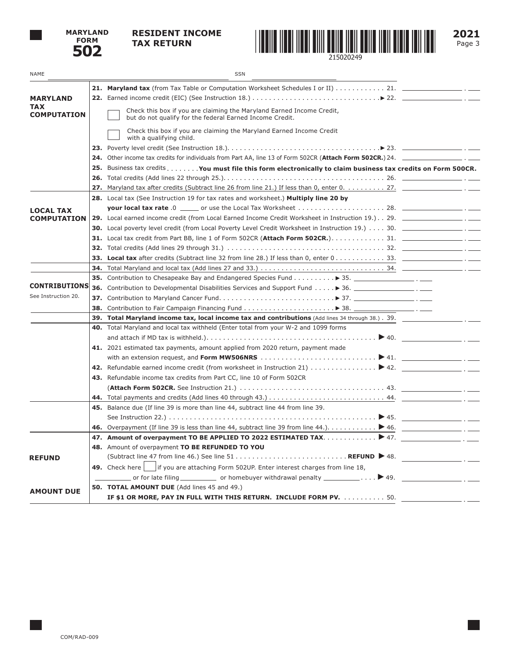

## **RESIDENT INCOME TAX RETURN**



**2021** Page 3

| NAME                             | SSN                                                                                                                                                                                               |
|----------------------------------|---------------------------------------------------------------------------------------------------------------------------------------------------------------------------------------------------|
|                                  |                                                                                                                                                                                                   |
| <b>MARYLAND</b>                  |                                                                                                                                                                                                   |
| <b>TAX</b><br><b>COMPUTATION</b> | Check this box if you are claiming the Maryland Earned Income Credit,<br>but do not qualify for the federal Earned Income Credit.                                                                 |
|                                  | Check this box if you are claiming the Maryland Earned Income Credit<br>with a qualifying child.                                                                                                  |
|                                  |                                                                                                                                                                                                   |
|                                  |                                                                                                                                                                                                   |
|                                  | 25. Business tax credits You must file this form electronically to claim business tax credits on Form 500CR.                                                                                      |
|                                  |                                                                                                                                                                                                   |
|                                  | 27. Maryland tax after credits (Subtract line 26 from line 21.) If less than 0, enter $0, \ldots, 27, \ldots$                                                                                     |
|                                  | 28. Local tax (See Instruction 19 for tax rates and worksheet.) Multiply line 20 by                                                                                                               |
| <b>LOCAL TAX</b>                 |                                                                                                                                                                                                   |
| <b>COMPUTATION</b>               | 29. Local earned income credit (from Local Earned Income Credit Worksheet in Instruction 19.). 29. ____________________.                                                                          |
|                                  |                                                                                                                                                                                                   |
|                                  | 31. Local tax credit from Part BB, line 1 of Form 502CR (Attach Form 502CR.)31.                                                                                                                   |
|                                  |                                                                                                                                                                                                   |
|                                  | <b>33. Local tax</b> after credits (Subtract line 32 from line 28.) If less than 0, enter $0, \ldots, \ldots, 33$ .                                                                               |
|                                  |                                                                                                                                                                                                   |
| <b>CONTRIBUTIONS</b>             | 35. Contribution to Chesapeake Bay and Endangered Species Fund > 35. $\Box$                                                                                                                       |
| See Instruction 20.              |                                                                                                                                                                                                   |
|                                  |                                                                                                                                                                                                   |
|                                  |                                                                                                                                                                                                   |
|                                  | 39. Total Maryland income tax, local income tax and contributions (Add lines 34 through 38.). 39. ________<br>40. Total Maryland and local tax withheld (Enter total from your W-2 and 1099 forms |
|                                  |                                                                                                                                                                                                   |
|                                  | 41. 2021 estimated tax payments, amount applied from 2020 return, payment made                                                                                                                    |
|                                  | with an extension request, and Form MW506NRS $\dots\dots\dots\dots\dots\dots\dots\dots\dots\vdots$                                                                                                |
|                                  |                                                                                                                                                                                                   |
|                                  | 43. Refundable income tax credits from Part CC, line 10 of Form 502CR                                                                                                                             |
|                                  |                                                                                                                                                                                                   |
|                                  |                                                                                                                                                                                                   |
|                                  | 45. Balance due (If line 39 is more than line 44, subtract line 44 from line 39.                                                                                                                  |
|                                  |                                                                                                                                                                                                   |
|                                  | <b>46.</b> Overpayment (If line 39 is less than line 44, subtract line 39 from line 44.). $\ldots \ldots \ldots$ > 46.                                                                            |
|                                  | 47. Amount of overpayment TO BE APPLIED TO 2022 ESTIMATED TAX. $\blacktriangleright$ 47.                                                                                                          |
|                                  | 48. Amount of overpayment TO BE REFUNDED TO YOU                                                                                                                                                   |
| <b>REFUND</b>                    | <u> 1980 - Jan Alexandria III, politik politik (</u>                                                                                                                                              |
|                                  | 49. Check here   if you are attaching Form 502UP. Enter interest charges from line 18,                                                                                                            |
|                                  |                                                                                                                                                                                                   |
| <b>AMOUNT DUE</b>                | <b>50. TOTAL AMOUNT DUE</b> (Add lines 45 and 49.)                                                                                                                                                |
|                                  |                                                                                                                                                                                                   |